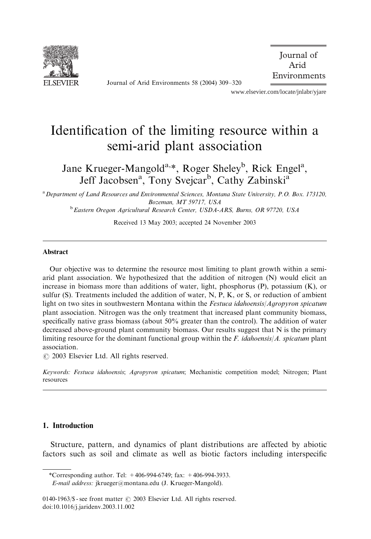

Journal of Arid Environments 58 (2004) 309–320

 Journal of Arid Environments

www.elsevier.com/locate/jnlabr/yjare

# Identification of the limiting resource within a semi-arid plant association

Jane Krueger-Mangold<sup>a,\*</sup>, Roger Sheley<sup>b</sup>, Rick Engel<sup>a</sup>, Jeff Jacobsen<sup>a</sup>, Tony Svejcar<sup>b</sup>, Cathy Zabinski<sup>a</sup>

<sup>a</sup> Department of Land Resources and Environmental Sciences, Montana State University, P.O. Box. 173120, Bozeman, MT 59717, USA

<sup>b</sup> Eastern Oregon Agricultural Research Center, USDA-ARS, Burns, OR 97720, USA

Received 13 May 2003; accepted 24 November 2003

#### Abstract

Our objective was to determine the resource most limitingto plant growth within a semiarid plant association. We hypothesized that the addition of nitrogen (N) would elicit an increase in biomass more than additions of water, light, phosphorus (P), potassium (K), or sulfur (S). Treatments included the addition of water, N, P, K, or S, or reduction of ambient light on two sites in southwestern Montana within the Festuca idahoensis/Agropyron spicatum plant association. Nitrogen was the only treatment that increased plant community biomass, specifically native grass biomass (about 50% greater than the control). The addition of water decreased above-ground plant community biomass. Our results suggest that N is the primary limiting resource for the dominant functional group within the  $F$ . *idahoensis/A. spicatum* plant association.

 $\odot$  2003 Elsevier Ltd. All rights reserved.

Keywords: Festuca idahoensis; Agropyron spicatum; Mechanistic competition model; Nitrogen; Plant resources

## 1. Introduction

Structure, pattern, and dynamics of plant distributions are affected by abiotic factors such as soil and climate as well as biotic factors includinginterspecific

<sup>\*</sup>Correspondingauthor. Tel: +406-994-6749; fax: +406-994-3933.

E-mail address: jkrueger@montana.edu (J. Krueger-Mangold).

<sup>0140-1963/\$ -</sup> see front matter  $\odot$  2003 Elsevier Ltd. All rights reserved. doi:10.1016/j.jaridenv.2003.11.002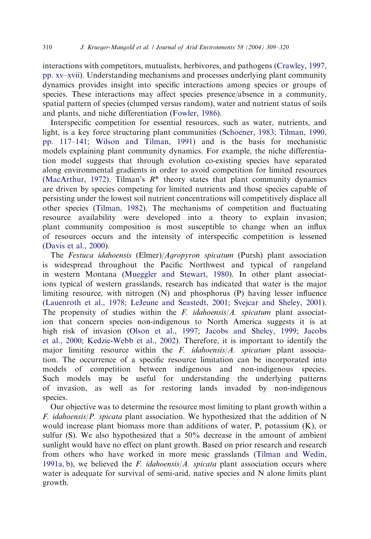interactions with competitors, mutualists, herbivores, and pathogens [\(Crawley, 1997,](#page-10-0)  $pp. xv–xvii$ . Understanding mechanisms and processes underlying plant community dynamics provides insight into specific interactions among species or groups of species. These interactions may affect species presence/absence in a community, spatial pattern of species (clumped versus random), water and nutrient status of soils and plants, and niche differentiation ([Fowler, 1986](#page-10-0)).

Interspecific competition for essential resources, such as water, nutrients, and light, is a key force structuring plant communities ([Schoener, 1983;](#page-11-0) [Tilman, 1990,](#page-11-0) [pp. 117–141](#page-11-0); [Wilson and Tilman, 1991](#page-11-0)) and is the basis for mechanistic models explaining plant community dynamics. For example, the niche differentiation model suggests that through evolution co-existing species have separated along environmental gradients in order to avoid competition for limited resources [\(MacArthur, 1972](#page-10-0)). Tilman's  $R^*$  theory states that plant community dynamics are driven by species competing for limited nutrients and those species capable of persistingunder the lowest soil nutrient concentrations will competitively displace all other species ([Tilman, 1982](#page-11-0)). The mechanisms of competition and fluctuating resource availability were developed into a theory to explain invasion; plant community composition is most susceptible to change when an influx of resources occurs and the intensity of interspecific competition is lessened [\(Davis et al., 2000\)](#page-10-0).

The Festuca idahoensis (Elmer)/Agropyron spicatum (Pursh) plant association is widespread throughout the Pacific Northwest and typical of rangeland in western Montana [\(Mueggler and Stewart, 1980](#page-10-0)). In other plant associations typical of western grasslands, research has indicated that water is the major limiting resource, with nitrogen  $(N)$  and phosphorus  $(P)$  having lesser influence [\(Lauenroth et al., 1978](#page-10-0); [LeJeune and Seastedt, 2001;](#page-10-0) [Svejcar and Sheley, 2001](#page-11-0)). The propensity of studies within the  $F$ . *idahoensis/A. spicatum* plant association that concern species non-indigenous to North America suggests it is at high risk of invasion [\(Olson et al., 1997;](#page-11-0) [Jacobs and Sheley, 1999](#page-10-0); [Jacobs](#page-10-0) [et al., 2000](#page-10-0); [Kedzie-Webb et al., 2002\)](#page-10-0). Therefore, it is important to identify the major limiting resource within the F. idahoensis/A. spicatum plant association. The occurrence of a specific resource limitation can be incorporated into models of competition between indigenous and non-indigenous species. Such models may be useful for understanding the underlying patterns of invasion, as well as for restoring lands invaded by non-indigenous species.

Our objective was to determine the resource most limiting to plant growth within a F. idahoensis/P. spicata plant association. We hypothesized that the addition of N would increase plant biomass more than additions of water, P, potassium (K), or sulfur (S). We also hypothesized that a 50% decrease in the amount of ambient sunlight would have no effect on plant growth. Based on prior research and research from others who have worked in more mesic grasslands ([Tilman and Wedin,](#page-11-0) [1991a, b\)](#page-11-0), we believed the F. idahoensis/A. spicata plant association occurs where water is adequate for survival of semi-arid, native species and N alone limits plant growth.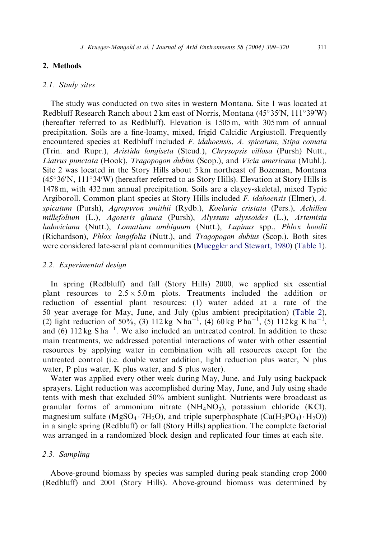# 2. Methods

## 2.1. Study sites

The study was conducted on two sites in western Montana. Site 1 was located at Redbluff Research Ranch about  $2 \text{ km}$  east of Norris, Montana (45°35'N, 111°39'W) (hereafter referred to as Redbluff). Elevation is 1505 m, with 305 mm of annual precipitation. Soils are a fine-loamy, mixed, frigid Calcidic Argiustoll. Frequently encountered species at Redbluff included F. idahoensis, A. spicatum, Stipa comata (Trin. and Rupr.), Aristida longiseta (Steud.), Chrysopsis villosa (Pursh) Nutt., Liatrus punctata (Hook), Tragopogon dubius (Scop.), and Vicia americana (Muhl.). Site 2 was located in the Story Hills about 5 km northeast of Bozeman, Montana  $(45°36'N, 111°34'W)$  (hereafter referred to as Story Hills). Elevation at Story Hills is 1478 m, with 432 mm annual precipitation. Soils are a clayey-skeletal, mixed Typic Argiboroll. Common plant species at Story Hills included F. idahoensis (Elmer), A. spicatum (Pursh), Agropyron smithii (Rydb.), Koelaria cristata (Pers.), Achillea millefolium (L.), Agoseris glauca (Pursh), Alyssum alyssoides (L.), Artemisia ludoviciana (Nutt.), Lomatium ambiguum (Nutt.), Lupinus spp., Phlox hoodii (Richardson), Phlox longifolia (Nutt.), and Tragopogon dubius (Scop.). Both sites were considered late-seral plant communities ([Mueggler and Stewart, 1980\)](#page-10-0) [\(Table 1\)](#page-3-0).

#### 2.2. Experimental design

In spring (Redbluff) and fall (Story Hills) 2000, we applied six essential plant resources to  $2.5 \times 5.0$  m plots. Treatments included the addition or reduction of essential plant resources: (1) water added at a rate of the 50 year average for May, June, and July (plus ambient precipitation) ([Table 2](#page-3-0)), (2) light reduction of 50%, (3) 112 kg N ha<sup>-1</sup>, (4) 60 kg P ha<sup>-1</sup>, (5) 112 kg K ha<sup>-1</sup>, and  $(6)$  112 kg S ha<sup>-1</sup>. We also included an untreated control. In addition to these main treatments, we addressed potential interactions of water with other essential resources by applying water in combination with all resources except for the untreated control (i.e. double water addition, light reduction plus water, N plus water, P plus water, K plus water, and S plus water).

Water was applied every other week during May, June, and July using backpack sprayers. Light reduction was accomplished during May, June, and July using shade tents with mesh that excluded 50% ambient sunlight. Nutrients were broadcast as granular forms of ammonium nitrate  $(NH<sub>4</sub>NO<sub>3</sub>)$ , potassium chloride (KCl), magnesium sulfate (MgSO<sub>4</sub>  $\cdot$  7H<sub>2</sub>O), and triple superphosphate (Ca(H<sub>2</sub>PO<sub>4</sub>)  $\cdot$  H<sub>2</sub>O)) in a single spring (Redbluff) or fall (Story Hills) application. The complete factorial was arranged in a randomized block design and replicated four times at each site.

## 2.3. Sampling

Above-ground biomass by species was sampled during peak standing crop 2000 (Redbluff) and 2001 (Story Hills). Above-ground biomass was determined by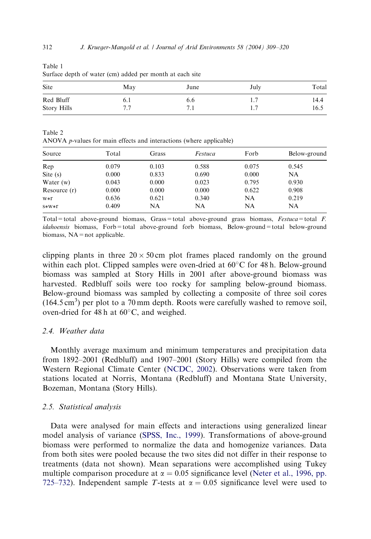| sanave aepin or water (em) added per momen at each she |             |      |      |              |  |  |
|--------------------------------------------------------|-------------|------|------|--------------|--|--|
| Site                                                   | May         | June | July | Total        |  |  |
| Red Bluff<br>Story Hills                               | b. I<br>7.7 | 6.6  |      | 14.4<br>16.5 |  |  |

Table 1

Table 2 ANOVA p-values for main effects and interactions (where applicable)

| Source         | Total | Grass | Festuca | Forb  | Below-ground |
|----------------|-------|-------|---------|-------|--------------|
| Rep            | 0.079 | 0.103 | 0.588   | 0.075 | 0.545        |
| Site $(s)$     | 0.000 | 0.833 | 0.690   | 0.000 | NA           |
| Water $(w)$    | 0.043 | 0.000 | 0.023   | 0.795 | 0.930        |
| Resource $(r)$ | 0.000 | 0.000 | 0.000   | 0.622 | 0.908        |
| W∗r            | 0.636 | 0.621 | 0.340   | NA    | 0.219        |
| $S*W*1$        | 0.409 | NA    | NA      | NA    | NA           |

Total=total above-ground biomass, Grass=total above-ground grass biomass,  $Festuca$ =total  $F$ . idahoensis biomass, Forb=total above-ground forb biomass, Below-ground=total below-ground biomass,  $NA = not$  applicable.

clipping plants in three  $20 \times 50$  cm plot frames placed randomly on the ground within each plot. Clipped samples were oven-dried at  $60^{\circ}$ C for 48 h. Below-ground biomass was sampled at Story Hills in 2001 after above-ground biomass was harvested. Redbluff soils were too rocky for sampling below-ground biomass. Below-ground biomass was sampled by collecting a composite of three soil cores  $(164.5 \text{ cm}^3)$  per plot to a 70 mm depth. Roots were carefully washed to remove soil, oven-dried for 48 h at  $60^{\circ}$ C, and weighed.

## 2.4. Weather data

Monthly average maximum and minimum temperatures and precipitation data from 1892–2001 (Redbluff) and 1907–2001 (Story Hills) were compiled from the Western Regional Climate Center [\(NCDC, 2002](#page-10-0)). Observations were taken from stations located at Norris, Montana (Redbluff) and Montana State University, Bozeman, Montana (Story Hills).

#### 2.5. Statistical analysis

Data were analysed for main effects and interactions using generalized linear model analysis of variance ([SPSS, Inc., 1999\)](#page-11-0). Transformations of above-ground biomass were performed to normalize the data and homogenize variances. Data from both sites were pooled because the two sites did not differ in their response to treatments (data not shown). Mean separations were accomplished usingTukey multiple comparison procedure at  $\alpha = 0.05$  significance level ([Neter et al., 1996, pp.](#page-10-0) [725–732\)](#page-10-0). Independent sample T-tests at  $\alpha = 0.05$  significance level were used to

<span id="page-3-0"></span>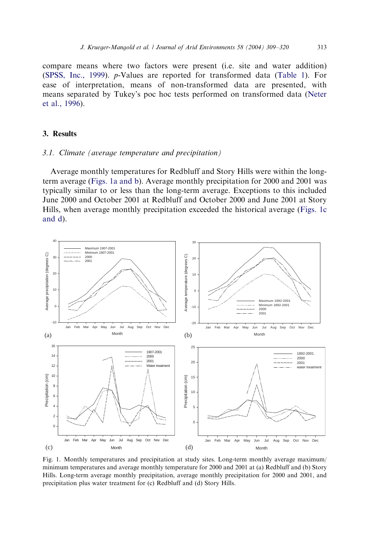<span id="page-4-0"></span>compare means where two factors were present (i.e. site and water addition) [\(SPSS, Inc., 1999](#page-11-0)). p-Values are reported for transformed data [\(Table 1\)](#page-3-0). For ease of interpretation, means of non-transformed data are presented, with means separated by Tukey's poc hoc tests performed on transformed data [\(Neter](#page-10-0) [et al., 1996](#page-10-0)).

## 3. Results

## 3.1. Climate (average temperature and precipitation)

Average monthly temperatures for Redbluff and Story Hills were within the longterm average (Figs. 1a and b). Average monthly precipitation for 2000 and 2001 was typically similar to or less than the long-term average. Exceptions to this included June 2000 and October 2001 at Redbluff and October 2000 and June 2001 at Story Hills, when average monthly precipitation exceeded the historical average (Figs. 1c and d).



Fig. 1. Monthly temperatures and precipitation at study sites. Long-term monthly average maximum/ minimum temperatures and average monthly temperature for 2000 and 2001 at (a) Redbluff and (b) Story Hills. Long-term average monthly precipitation, average monthly precipitation for 2000 and 2001, and precipitation plus water treatment for (c) Redbluff and (d) Story Hills.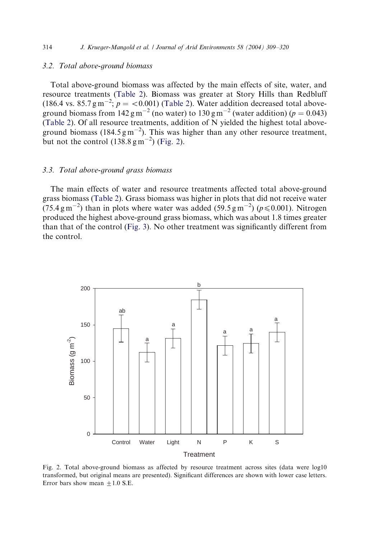## 3.2. Total above-ground biomass

Total above-ground biomass was affected by the main effects of site, water, and resource treatments ([Table 2](#page-3-0)). Biomass was greater at Story Hills than Redbluff (186.4 vs. 85.7 g m<sup>-2</sup>;  $p = < 0.001$ ) [\(Table 2](#page-3-0)). Water addition decreased total aboveground biomass from  $142 \text{ g m}^{-2}$  (no water) to  $130 \text{ g m}^{-2}$  (water addition) ( $p = 0.043$ ) [\(Table 2](#page-3-0)). Of all resource treatments, addition of N yielded the highest total aboveground biomass (184.5  $\text{g m}^{-2}$ ). This was higher than any other resource treatment, but not the control  $(138.8 \text{ g m}^{-2})$  (Fig. 2).

### 3.3. Total above-ground grass biomass

The main effects of water and resource treatments affected total above-ground grass biomass [\(Table 2\)](#page-3-0). Grass biomass was higher in plots that did not receive water (75.4 gm<sup>-2</sup>) than in plots where water was added (59.5 gm<sup>-2</sup>) ( $p \le 0.001$ ). Nitrogen produced the highest above-ground grass biomass, which was about 1.8 times greater than that of the control [\(Fig. 3](#page-6-0)). No other treatment was significantly different from the control.



Fig. 2. Total above-ground biomass as affected by resource treatment across sites (data were log10 transformed, but original means are presented). Significant differences are shown with lower case letters. Error bars show mean  $\pm 1.0$  S.E.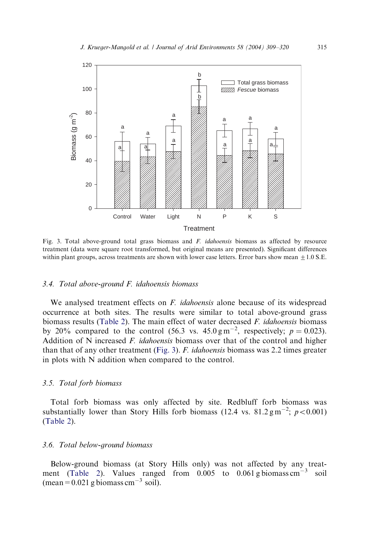<span id="page-6-0"></span>

Fig. 3. Total above-ground total grass biomass and  $F$ . *idahoensis* biomass as affected by resource treatment (data were square root transformed, but original means are presented). Significant differences within plant groups, across treatments are shown with lower case letters. Error bars show mean  $+1.0$  S.E.

#### 3.4. Total above-ground F. idahoensis biomass

We analysed treatment effects on  $F$ . *idahoensis* alone because of its widespread occurrence at both sites. The results were similar to total above-ground grass biomass results [\(Table 2\)](#page-3-0). The main effect of water decreased  $F$ . *idahoensis* biomass by 20% compared to the control (56.3 vs.  $45.0 \text{ g m}^{-2}$ , respectively;  $p = 0.023$ ). Addition of N increased F. idahoensis biomass over that of the control and higher than that of any other treatment (Fig. 3). F. idahoensis biomass was 2.2 times greater in plots with N addition when compared to the control.

## 3.5. Total forb biomass

Total forb biomass was only affected by site. Redbluff forb biomass was substantially lower than Story Hills forb biomass (12.4 vs.  $81.2 \text{ g m}^{-2}$ ;  $p < 0.001$ ) [\(Table 2\)](#page-3-0).

## 3.6. Total below-ground biomass

Below-ground biomass (at Story Hills only) was not affected by any treat-ment ([Table 2](#page-3-0)). Values ranged from  $0.005$  to  $0.061$  g biomass cm<sup>-3</sup> soil (mean =  $0.021$  g biomass cm<sup>-3</sup> soil).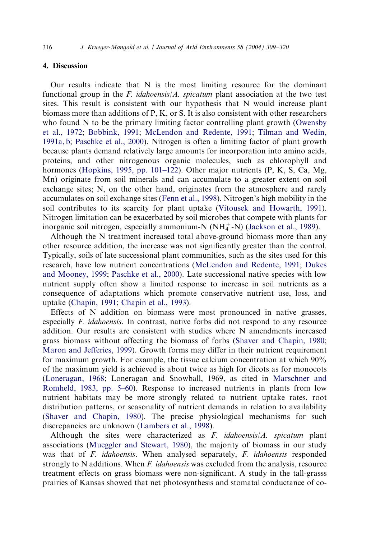## 4. Discussion

Our results indicate that  $N$  is the most limiting resource for the dominant functional group in the F. idahoensis/A. spicatum plant association at the two test sites. This result is consistent with our hypothesis that N would increase plant biomass more than additions of P, K, or S. It is also consistent with other researchers who found  $N$  to be the primary limiting factor controlling plant growth [\(Owensby](#page-11-0) [et al., 1972;](#page-11-0) [Bobbink, 1991;](#page-10-0) [McLendon and Redente, 1991](#page-10-0); [Tilman and Wedin,](#page-11-0) [1991a, b;](#page-11-0) [Paschke et al., 2000\)](#page-11-0). Nitrogen is often a limiting factor of plant growth because plants demand relatively large amounts for incorporation into amino acids, proteins, and other nitrogenous organic molecules, such as chlorophyll and hormones [\(Hopkins, 1995, pp. 101–122](#page-10-0)). Other major nutrients (P, K, S, Ca, Mg, Mn) originate from soil minerals and can accumulate to a greater extent on soil exchange sites; N, on the other hand, originates from the atmosphere and rarely accumulates on soil exchange sites [\(Fenn et al., 1998\)](#page-10-0). Nitrogen's high mobility in the soil contributes to its scarcity for plant uptake ([Vitousek and Howarth, 1991](#page-11-0)). Nitrogen limitation can be exacerbated by soil microbes that compete with plants for inorganic soil nitrogen, especially ammonium-N  $(NH_4^+$ -N) ([Jackson et al., 1989](#page-10-0)).

Although the N treatment increased total above-ground biomass more than any other resource addition, the increase was not significantly greater than the control. Typically, soils of late successional plant communities, such as the sites used for this research, have low nutrient concentrations ([McLendon and Redente, 1991](#page-10-0); [Dukes](#page-10-0) [and Mooney, 1999;](#page-10-0) [Paschke et al., 2000](#page-11-0)). Late successional native species with low nutrient supply often show a limited response to increase in soil nutrients as a consequence of adaptations which promote conservative nutrient use, loss, and uptake ([Chapin, 1991](#page-10-0); [Chapin et al., 1993](#page-10-0)).

Effects of N addition on biomass were most pronounced in native grasses, especially F. idahoensis. In contrast, native forbs did not respond to any resource addition. Our results are consistent with studies where N amendments increased grass biomass without affecting the biomass of forbs [\(Shaver and Chapin, 1980;](#page-11-0) [Maron and Jefferies, 1999\)](#page-10-0). Growth forms may differ in their nutrient requirement for maximum growth. For example, the tissue calcium concentration at which 90% of the maximum yield is achieved is about twice as high for dicots as for monocots [\(Loneragan, 1968;](#page-10-0) Loneragan and Snowball, 1969, as cited in [Marschner and](#page-10-0) [Romheld, 1983, pp. 5–60\)](#page-10-0). Response to increased nutrients in plants from low nutrient habitats may be more strongly related to nutrient uptake rates, root distribution patterns, or seasonality of nutrient demands in relation to availability [\(Shaver and Chapin, 1980](#page-11-0)). The precise physiological mechanisms for such discrepancies are unknown [\(Lambers et al., 1998\)](#page-10-0).

Although the sites were characterized as  $F$ . *idahoensis*/ $A$ . *spicatum* plant associations ([Mueggler and Stewart, 1980](#page-10-0)), the majority of biomass in our study was that of F. *idahoensis*. When analysed separately, F. *idahoensis* responded strongly to N additions. When  $F$ , *idahoensis* was excluded from the analysis, resource treatment effects on grass biomass were non-significant. A study in the tall-grasss prairies of Kansas showed that net photosynthesis and stomatal conductance of co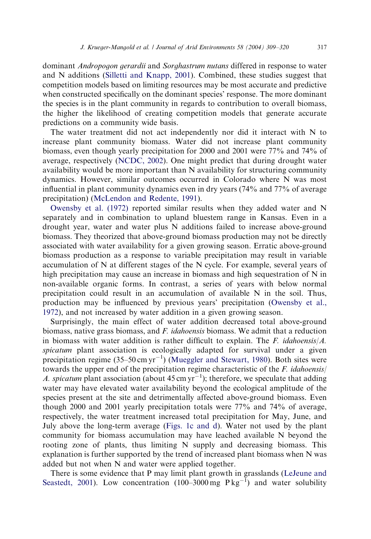dominant Andropogon gerardii and Sorghastrum nutans differed in response to water and N additions ([Silletti and Knapp, 2001\)](#page-11-0). Combined, these studies suggest that competition models based on limiting resources may be most accurate and predictive when constructed specifically on the dominant species' response. The more dominant the species is in the plant community in regards to contribution to overall biomass, the higher the likelihood of creating competition models that generate accurate predictions on a community wide basis.

The water treatment did not act independently nor did it interact with N to increase plant community biomass. Water did not increase plant community biomass, even though yearly precipitation for 2000 and 2001 were 77% and 74% of average, respectively ([NCDC, 2002](#page-10-0)). One might predict that during drought water availability would be more important than N availability for structuring community dynamics. However, similar outcomes occurred in Colorado where N was most influential in plant community dynamics even in dry years (74% and 77% of average precipitation) [\(McLendon and Redente, 1991](#page-10-0)).

[Owensby et al. \(1972\)](#page-11-0) reported similar results when they added water and N separately and in combination to upland bluestem range in Kansas. Even in a drought year, water and water plus N additions failed to increase above-ground biomass. They theorized that above-ground biomass production may not be directly associated with water availability for a given growing season. Erratic above-ground biomass production as a response to variable precipitation may result in variable accumulation of N at different stages of the N cycle. For example, several years of high precipitation may cause an increase in biomass and high sequestration of N in non-available organic forms. In contrast, a series of years with below normal precipitation could result in an accumulation of available N in the soil. Thus, production may be influenced by previous years' precipitation [\(Owensby et al.,](#page-11-0) [1972\)](#page-11-0), and not increased by water addition in a given growing season.

Surprisingly, the main effect of water addition decreased total above-ground biomass, native grass biomass, and F. idahoensis biomass. We admit that a reduction in biomass with water addition is rather difficult to explain. The  $F$ . *idahoensis/A*. spicatum plant association is ecologically adapted for survival under a given precipitation regime  $(35-50 \text{ cm yr}^{-1})$  ([Mueggler and Stewart, 1980\)](#page-10-0). Both sites were towards the upper end of the precipitation regime characteristic of the  $F$ . *idahoensis*/ A. spicatum plant association (about 45 cm  $yr^{-1}$ ); therefore, we speculate that adding water may have elevated water availability beyond the ecological amplitude of the species present at the site and detrimentally affected above-ground biomass. Even though 2000 and 2001 yearly precipitation totals were 77% and 74% of average, respectively, the water treatment increased total precipitation for May, June, and July above the long-term average [\(Figs. 1c and d](#page-4-0)). Water not used by the plant community for biomass accumulation may have leached available N beyond the rooting zone of plants, thus limiting  $N$  supply and decreasing biomass. This explanation is further supported by the trend of increased plant biomass when N was added but not when N and water were applied together.

There is some evidence that P may limit plant growth in grasslands [\(LeJeune and](#page-10-0) [Seastedt, 2001\)](#page-10-0). Low concentration  $(100-3000 \text{ mg} \text{ Pkg}^{-1})$  and water solubility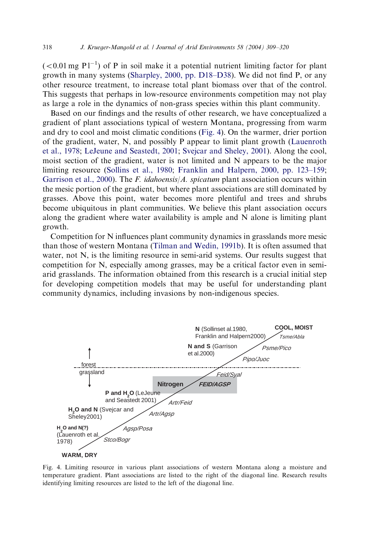$(< 0.01$  mg P $1^{-1}$ ) of P in soil make it a potential nutrient limiting factor for plant growth in many systems [\(Sharpley, 2000, pp. D18–D38\)](#page-11-0). We did not find P, or any other resource treatment, to increase total plant biomass over that of the control. This suggests that perhaps in low-resource environments competition may not play as large a role in the dynamics of non-grass species within this plant community.

Based on our findings and the results of other research, we have conceptualized a gradient of plant associations typical of western Montana, progressing from warm and dry to cool and moist climatic conditions (Fig. 4). On the warmer, drier portion of the gradient, water, N, and possibly P appear to limit plant growth [\(Lauenroth](#page-10-0) [et al., 1978;](#page-10-0) [LeJeune and Seastedt, 2001;](#page-10-0) [Svejcar and Sheley, 2001\)](#page-11-0). Alongthe cool, moist section of the gradient, water is not limited and N appears to be the major limiting resource ([Sollins et al., 1980](#page-11-0); [Franklin and Halpern, 2000, pp. 123–159;](#page-10-0) [Garrison et al., 2000\)](#page-10-0). The F. idahoensis/A. spicatum plant association occurs within the mesic portion of the gradient, but where plant associations are still dominated by grasses. Above this point, water becomes more plentiful and trees and shrubs become ubiquitous in plant communities. We believe this plant association occurs along the gradient where water availability is ample and N alone is limiting plant growth.

Competition for N influences plant community dynamics in grasslands more mesic than those of western Montana [\(Tilman and Wedin, 1991b](#page-11-0)). It is often assumed that water, not N, is the limiting resource in semi-arid systems. Our results suggest that competition for N, especially among grasses, may be a critical factor even in semiarid grasslands. The information obtained from this research is a crucial initial step for developing competition models that may be useful for understanding plant community dynamics, including invasions by non-indigenous species.



Fig. 4. Limiting resource in various plant associations of western Montana along a moisture and temperature gradient. Plant associations are listed to the right of the diagonal line. Research results identifying limiting resources are listed to the left of the diagonal line.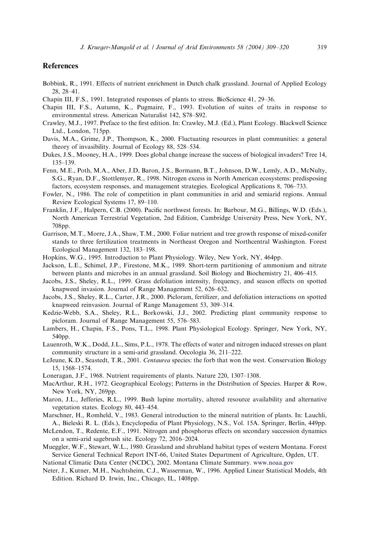## <span id="page-10-0"></span>References

- Bobbink, R., 1991. Effects of nutrient enrichment in Dutch chalk grassland. Journal of Applied Ecology 28, 28–41.
- Chapin III, F.S., 1991. Integrated responses of plants to stress. BioScience 41, 29–36.
- Chapin III, F.S., Autumn, K., Pugmaire, F., 1993. Evolution of suites of traits in response to environmental stress. American Naturalist 142, S78–S92.
- Crawley, M.J., 1997. Preface to the first edition. In: Crawley, M.J. (Ed.), Plant Ecology. Blackwell Science Ltd., London, 715pp.
- Davis, M.A., Grime, J.P., Thompson, K., 2000. Fluctuating resources in plant communities: a general theory of invasibility. Journal of Ecology 88, 528–534.
- Dukes, J.S., Mooney, H.A., 1999. Does global change increase the success of biological invaders? Tree 14, 135–139.
- Fenn, M.E., Poth, M.A., Aber, J.D, Baron, J.S., Bormann, B.T., Johnson, D.W., Lemly, A.D., McNulty, S.G., Ryan, D.F., Stottlemyer, R., 1998. Nitrogen excess in North American ecosystems: predisposing factors, ecosystem responses, and management strategies. Ecological Applications 8, 706–733.
- Fowler, N., 1986. The role of competition in plant communities in arid and semiarid regions. Annual Review Ecological Systems 17, 89–110.
- Franklin, J.F., Halpern, C.B. (2000). Pacific northwest forests. In: Barbour, M.G., Billings, W.D. (Eds.), North American Terrestrial Vegetation, 2nd Edition, Cambridge University Press, New York, NY, 708pp.
- Garrison, M.T., Morre, J.A., Shaw, T.M., 2000. Foliar nutrient and tree growth response of mixed-conifer stands to three fertilization treatments in Northeast Oregon and Northcentral Washington. Forest Ecological Management 132, 183–198.
- Hopkins, W.G., 1995. Introduction to Plant Physiology. Wiley, New York, NY, 464pp.
- Jackson, L.E., Schimel, J.P., Firestone, M.K., 1989. Short-term partitioning of ammonium and nitrate between plants and microbes in an annual grassland. Soil Biology and Biochemistry 21, 406–415.
- Jacobs, J.S., Sheley, R.L., 1999. Grass defoliation intensity, frequency, and season effects on spotted knapweed invasion. Journal of Range Management 52, 626–632.
- Jacobs, J.S., Sheley, R.L., Carter, J.R., 2000. Picloram, fertilizer, and defoliation interactions on spotted knapweed reinvasion. Journal of Range Management 53, 309–314.
- Kedzie-Webb, S.A., Sheley, R.L., Borkowski, J.J., 2002. Predicting plant community response to picloram. Journal of Range Management 55, 576–583.
- Lambers, H., Chapin, F.S., Pons, T.L., 1998. Plant Physiological Ecology. Springer, New York, NY, 540pp.
- Lauenroth, W.K., Dodd, J.L., Sims, P.L., 1978. The effects of water and nitrogen induced stresses on plant community structure in a semi-arid grassland. Oecologia 36, 211–222.
- LeJeune, K.D., Seastedt, T.R., 2001. Centaurea species: the forb that won the west. Conservation Biology 15, 1568–1574.
- Loneragan, J.F., 1968. Nutrient requirements of plants. Nature 220, 1307–1308.
- MacArthur, R.H., 1972. Geographical Ecology; Patterns in the Distribution of Species. Harper & Row, New York, NY, 269pp.
- Maron, J.L., Jefferies, R.L., 1999. Bush lupine mortality, altered resource availability and alternative vegetation states. Ecology 80, 443–454.
- Marschner, H., Romheld, V., 1983. General introduction to the mineral nutrition of plants. In: Lauchli, A., Bieleski R. L. (Eds.), Encyclopedia of Plant Physiology, N.S., Vol. 15A. Springer, Berlin, 449pp.
- McLendon, T., Redente, E.F., 1991. Nitrogen and phosphorus effects on secondary succession dynamics on a semi-arid sagebrush site. Ecology 72, 2016–2024.
- Mueggler, W.F., Stewart, W.L., 1980. Grassland and shrubland habitat types of western Montana. Forest Service General Technical Report INT-66, United States Department of Agriculture, Ogden, UT.
- National Climatic Data Center (NCDC), 2002. Montana Climate Summary. [www.noaa.gov](http://www.noaa.gov)
- Neter, J., Kutner, M.H., Nachtsheim, C.J., Wasserman, W., 1996. Applied Linear Statistical Models, 4th Edition. Richard D. Irwin, Inc., Chicago, IL, 1408pp.